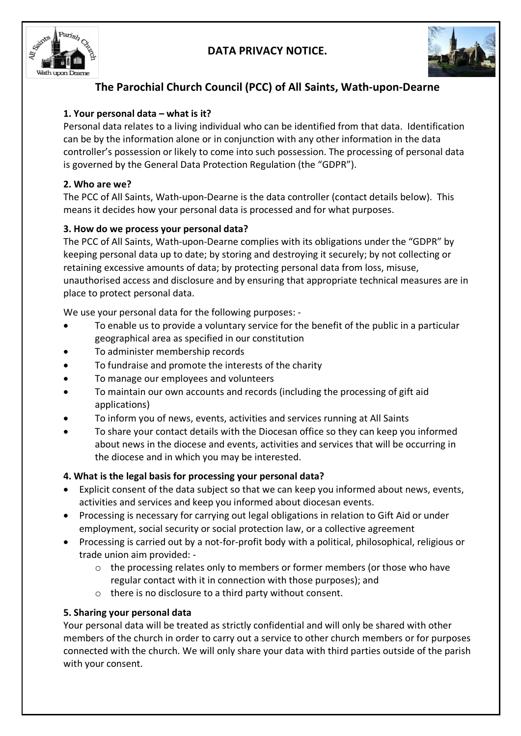## **DATA PRIVACY NOTICE.**





# **The Parochial Church Council (PCC) of All Saints, Wath-upon-Dearne**

## **1. Your personal data – what is it?**

Personal data relates to a living individual who can be identified from that data. Identification can be by the information alone or in conjunction with any other information in the data controller's possession or likely to come into such possession. The processing of personal data is governed by the General Data Protection Regulation (the "GDPR").

## **2. Who are we?**

The PCC of All Saints, Wath-upon-Dearne is the data controller (contact details below). This means it decides how your personal data is processed and for what purposes.

## **3. How do we process your personal data?**

The PCC of All Saints, Wath-upon-Dearne complies with its obligations under the "GDPR" by keeping personal data up to date; by storing and destroying it securely; by not collecting or retaining excessive amounts of data; by protecting personal data from loss, misuse, unauthorised access and disclosure and by ensuring that appropriate technical measures are in place to protect personal data.

We use your personal data for the following purposes: -

- To enable us to provide a voluntary service for the benefit of the public in a particular geographical area as specified in our constitution
- To administer membership records
- To fundraise and promote the interests of the charity
- To manage our employees and volunteers
- To maintain our own accounts and records (including the processing of gift aid applications)
- To inform you of news, events, activities and services running at All Saints
- To share your contact details with the Diocesan office so they can keep you informed about news in the diocese and events, activities and services that will be occurring in the diocese and in which you may be interested.

## **4. What is the legal basis for processing your personal data?**

- Explicit consent of the data subject so that we can keep you informed about news, events, activities and services and keep you informed about diocesan events.
- Processing is necessary for carrying out legal obligations in relation to Gift Aid or under employment, social security or social protection law, or a collective agreement
- Processing is carried out by a not-for-profit body with a political, philosophical, religious or trade union aim provided:
	- o the processing relates only to members or former members (or those who have regular contact with it in connection with those purposes); and
	- o there is no disclosure to a third party without consent.

## **5. Sharing your personal data**

Your personal data will be treated as strictly confidential and will only be shared with other members of the church in order to carry out a service to other church members or for purposes connected with the church. We will only share your data with third parties outside of the parish with your consent.